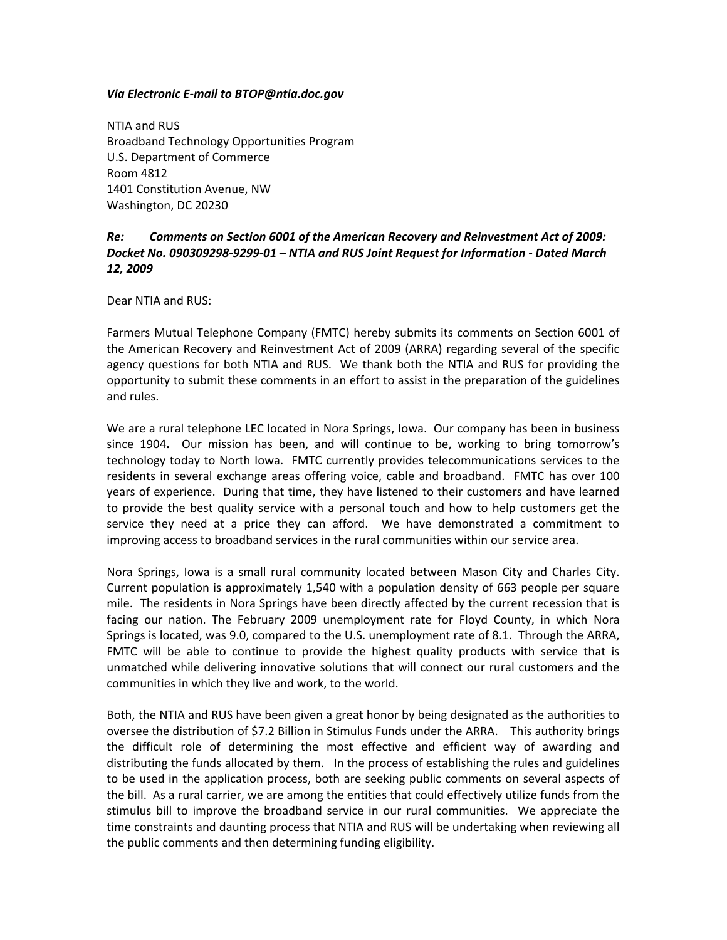## *Via Electronic E‐mail to BTOP@ntia.doc.gov*

NTIA and RUS Broadband Technology Opportunities Program U.S. Department of Commerce Room 4812 1401 Constitution Avenue, NW Washington, DC 20230

# *Re: Comments on Section 6001 of the American Recovery and Reinvestment Act of 2009: Docket No. 090309298‐9299‐01 – NTIA and RUS Joint Request for Information ‐ Dated March 12, 2009*

Dear NTIA and RUS:

Farmers Mutual Telephone Company (FMTC) hereby submits its comments on Section 6001 of the American Recovery and Reinvestment Act of 2009 (ARRA) regarding several of the specific agency questions for both NTIA and RUS. We thank both the NTIA and RUS for providing the opportunity to submit these comments in an effort to assist in the preparation of the guidelines and rules.

We are a rural telephone LEC located in Nora Springs, Iowa. Our company has been in business since 1904. Our mission has been, and will continue to be, working to bring tomorrow's technology today to North Iowa. FMTC currently provides telecommunications services to the residents in several exchange areas offering voice, cable and broadband. FMTC has over 100 years of experience. During that time, they have listened to their customers and have learned to provide the best quality service with a personal touch and how to help customers get the service they need at a price they can afford. We have demonstrated a commitment to improving access to broadband services in the rural communities within our service area.

Nora Springs, Iowa is a small rural community located between Mason City and Charles City. Current population is approximately 1,540 with a population density of 663 people per square mile. The residents in Nora Springs have been directly affected by the current recession that is facing our nation. The February 2009 unemployment rate for Floyd County, in which Nora Springs is located, was 9.0, compared to the U.S. unemployment rate of 8.1. Through the ARRA, FMTC will be able to continue to provide the highest quality products with service that is unmatched while delivering innovative solutions that will connect our rural customers and the communities in which they live and work, to the world.

Both, the NTIA and RUS have been given a great honor by being designated as the authorities to oversee the distribution of \$7.2 Billion in Stimulus Funds under the ARRA. This authority brings the difficult role of determining the most effective and efficient way of awarding and distributing the funds allocated by them. In the process of establishing the rules and guidelines to be used in the application process, both are seeking public comments on several aspects of the bill. As a rural carrier, we are among the entities that could effectively utilize funds from the stimulus bill to improve the broadband service in our rural communities. We appreciate the time constraints and daunting process that NTIA and RUS will be undertaking when reviewing all the public comments and then determining funding eligibility.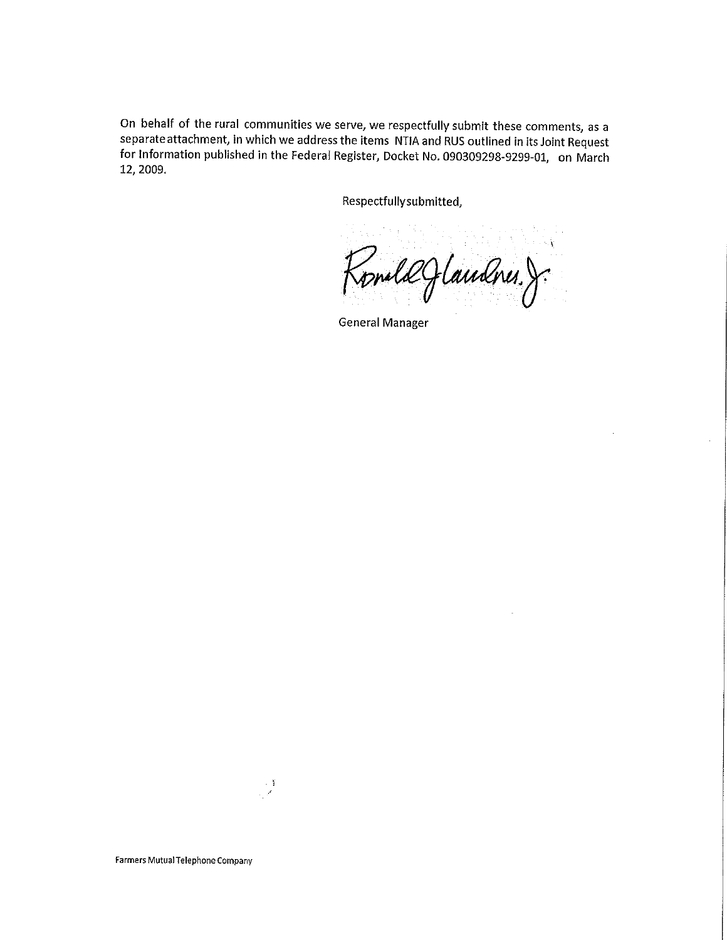On behalf of the rural communities we serve, we respectfully submit these comments, as a separate attachment, in which we address the items NTIA and RUS outlined in its Joint Request for Information published in the Federal Register, Docket No. 090309298-9299-01, on March 12, 2009.

Respectfully submitted,

RomlæJlandnes.J

**General Manager** 

 $\frac{1}{\sqrt{2}}$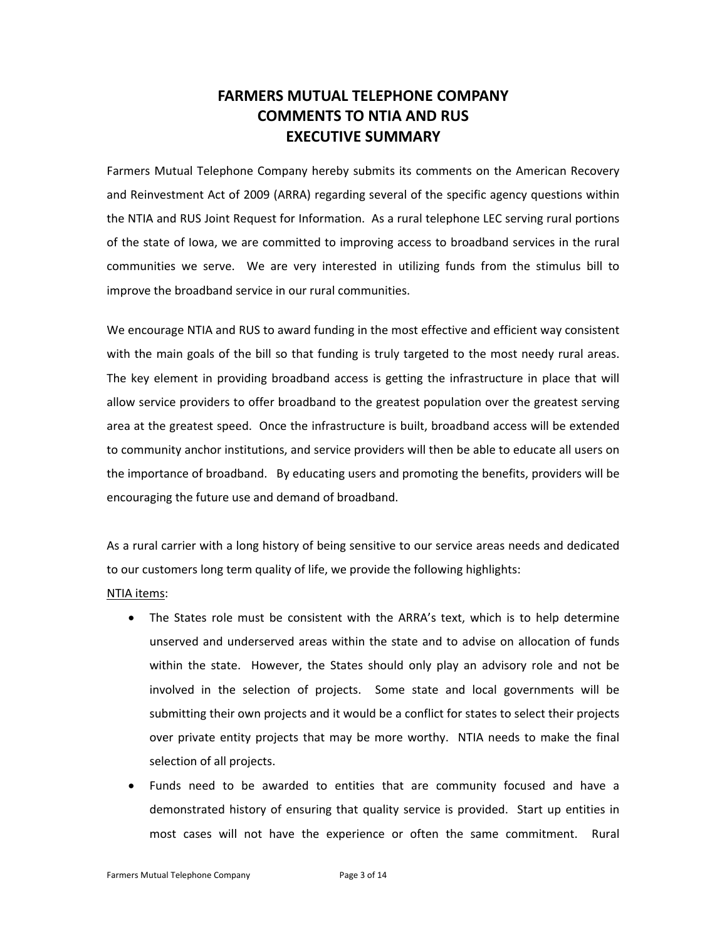# **FARMERS MUTUAL TELEPHONE COMPANY COMMENTS TO NTIA AND RUS EXECUTIVE SUMMARY**

Farmers Mutual Telephone Company hereby submits its comments on the American Recovery and Reinvestment Act of 2009 (ARRA) regarding several of the specific agency questions within the NTIA and RUS Joint Request for Information. As a rural telephone LEC serving rural portions of the state of Iowa, we are committed to improving access to broadband services in the rural communities we serve. We are very interested in utilizing funds from the stimulus bill to improve the broadband service in our rural communities.

We encourage NTIA and RUS to award funding in the most effective and efficient way consistent with the main goals of the bill so that funding is truly targeted to the most needy rural areas. The key element in providing broadband access is getting the infrastructure in place that will allow service providers to offer broadband to the greatest population over the greatest serving area at the greatest speed. Once the infrastructure is built, broadband access will be extended to community anchor institutions, and service providers will then be able to educate all users on the importance of broadband. By educating users and promoting the benefits, providers will be encouraging the future use and demand of broadband.

As a rural carrier with a long history of being sensitive to our service areas needs and dedicated to our customers long term quality of life, we provide the following highlights:

#### NTIA items:

- The States role must be consistent with the ARRA's text, which is to help determine unserved and underserved areas within the state and to advise on allocation of funds within the state. However, the States should only play an advisory role and not be involved in the selection of projects. Some state and local governments will be submitting their own projects and it would be a conflict for states to select their projects over private entity projects that may be more worthy. NTIA needs to make the final selection of all projects.
- Funds need to be awarded to entities that are community focused and have a demonstrated history of ensuring that quality service is provided. Start up entities in most cases will not have the experience or often the same commitment. Rural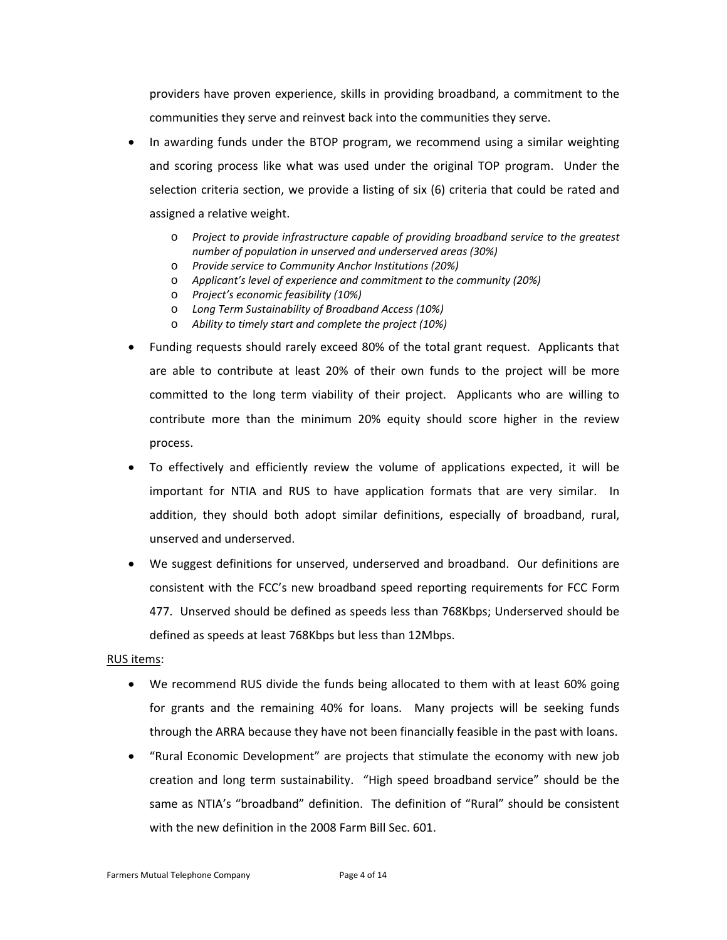providers have proven experience, skills in providing broadband, a commitment to the communities they serve and reinvest back into the communities they serve.

- In awarding funds under the BTOP program, we recommend using a similar weighting and scoring process like what was used under the original TOP program. Under the selection criteria section, we provide a listing of six (6) criteria that could be rated and assigned a relative weight.
	- o *Project to provide infrastructure capable of providing broadband service to the greatest number of population in unserved and underserved areas (30%)*
	- o *Provide service to Community Anchor Institutions (20%)*
	- o *Applicant's level of experience and commitment to the community (20%)*
	- o *Project's economic feasibility (10%)*
	- o *Long Term Sustainability of Broadband Access (10%)*
	- o *Ability to timely start and complete the project (10%)*
- Funding requests should rarely exceed 80% of the total grant request. Applicants that are able to contribute at least 20% of their own funds to the project will be more committed to the long term viability of their project. Applicants who are willing to contribute more than the minimum 20% equity should score higher in the review process.
- To effectively and efficiently review the volume of applications expected, it will be important for NTIA and RUS to have application formats that are very similar. In addition, they should both adopt similar definitions, especially of broadband, rural, unserved and underserved.
- We suggest definitions for unserved, underserved and broadband. Our definitions are consistent with the FCC's new broadband speed reporting requirements for FCC Form 477. Unserved should be defined as speeds less than 768Kbps; Underserved should be defined as speeds at least 768Kbps but less than 12Mbps.

# RUS items:

- We recommend RUS divide the funds being allocated to them with at least 60% going for grants and the remaining 40% for loans. Many projects will be seeking funds through the ARRA because they have not been financially feasible in the past with loans.
- "Rural Economic Development" are projects that stimulate the economy with new job creation and long term sustainability. "High speed broadband service" should be the same as NTIA's "broadband" definition. The definition of "Rural" should be consistent with the new definition in the 2008 Farm Bill Sec. 601.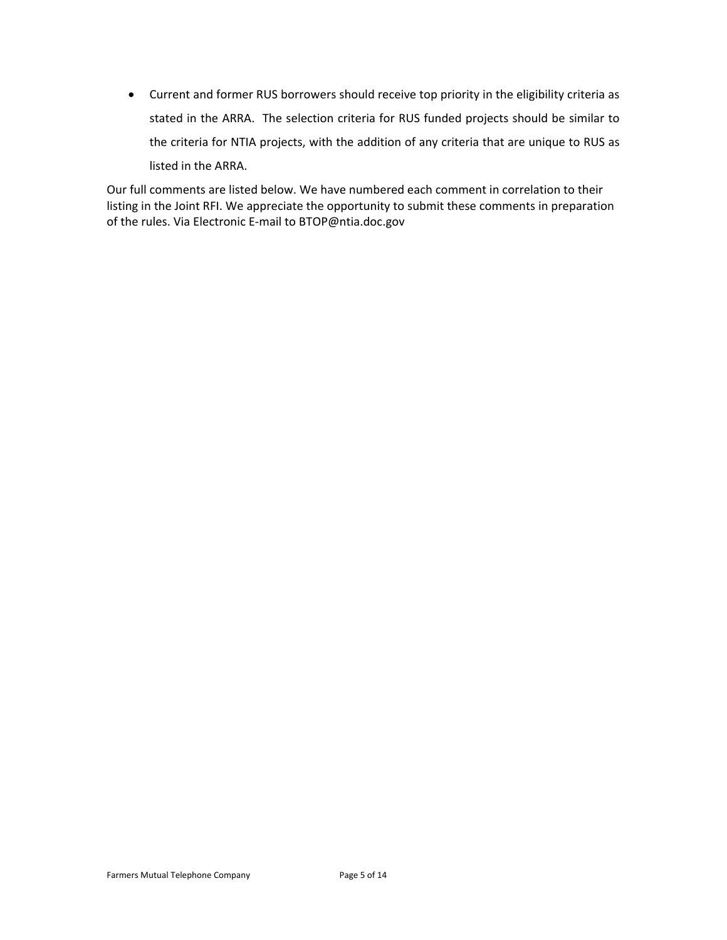• Current and former RUS borrowers should receive top priority in the eligibility criteria as stated in the ARRA. The selection criteria for RUS funded projects should be similar to the criteria for NTIA projects, with the addition of any criteria that are unique to RUS as listed in the ARRA.

Our full comments are listed below. We have numbered each comment in correlation to their listing in the Joint RFI. We appreciate the opportunity to submit these comments in preparation of the rules. Via Electronic E‐mail to BTOP@ntia.doc.gov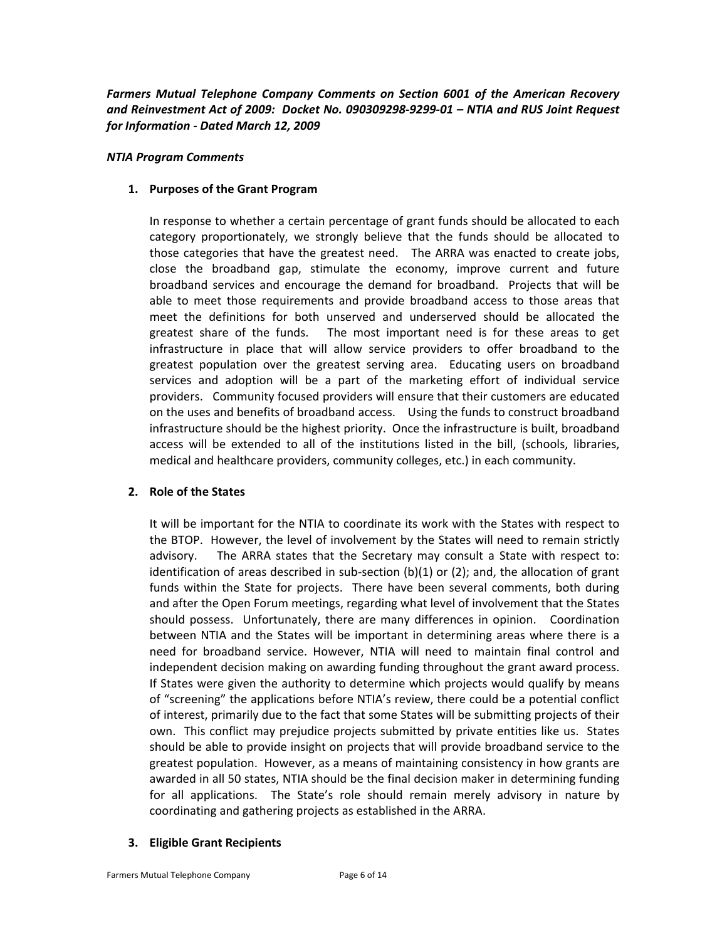*Farmers Mutual Telephone Company Comments on Section 6001 of the American Recovery and Reinvestment Act of 2009: Docket No. 090309298‐9299‐01 – NTIA and RUS Joint Request for Information ‐ Dated March 12, 2009*

#### *NTIA Program Comments*

## **1. Purposes of the Grant Program**

In response to whether a certain percentage of grant funds should be allocated to each category proportionately, we strongly believe that the funds should be allocated to those categories that have the greatest need. The ARRA was enacted to create jobs, close the broadband gap, stimulate the economy, improve current and future broadband services and encourage the demand for broadband. Projects that will be able to meet those requirements and provide broadband access to those areas that meet the definitions for both unserved and underserved should be allocated the greatest share of the funds. The most important need is for these areas to get infrastructure in place that will allow service providers to offer broadband to the greatest population over the greatest serving area. Educating users on broadband services and adoption will be a part of the marketing effort of individual service providers. Community focused providers will ensure that their customers are educated on the uses and benefits of broadband access. Using the funds to construct broadband infrastructure should be the highest priority. Once the infrastructure is built, broadband access will be extended to all of the institutions listed in the bill, (schools, libraries, medical and healthcare providers, community colleges, etc.) in each community.

# **2. Role of the States**

It will be important for the NTIA to coordinate its work with the States with respect to the BTOP. However, the level of involvement by the States will need to remain strictly advisory. The ARRA states that the Secretary may consult a State with respect to: identification of areas described in sub-section (b)(1) or (2); and, the allocation of grant funds within the State for projects. There have been several comments, both during and after the Open Forum meetings, regarding what level of involvement that the States should possess. Unfortunately, there are many differences in opinion. Coordination between NTIA and the States will be important in determining areas where there is a need for broadband service. However, NTIA will need to maintain final control and independent decision making on awarding funding throughout the grant award process. If States were given the authority to determine which projects would qualify by means of "screening" the applications before NTIA's review, there could be a potential conflict of interest, primarily due to the fact that some States will be submitting projects of their own. This conflict may prejudice projects submitted by private entities like us. States should be able to provide insight on projects that will provide broadband service to the greatest population. However, as a means of maintaining consistency in how grants are awarded in all 50 states, NTIA should be the final decision maker in determining funding for all applications. The State's role should remain merely advisory in nature by coordinating and gathering projects as established in the ARRA.

# **3. Eligible Grant Recipients**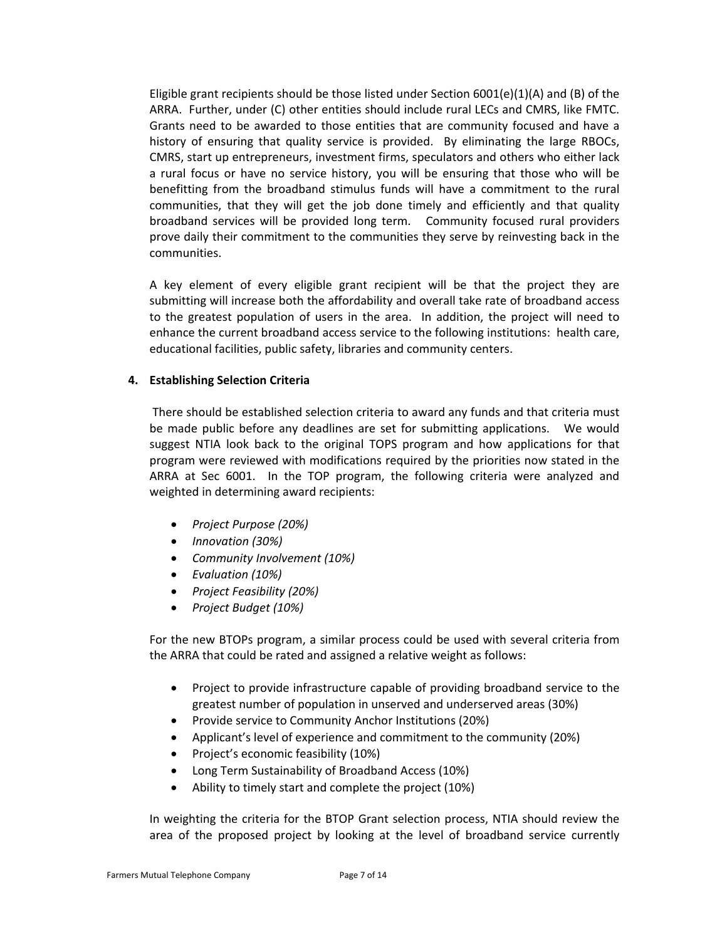Eligible grant recipients should be those listed under Section  $6001(e)(1)(A)$  and (B) of the ARRA. Further, under (C) other entities should include rural LECs and CMRS, like FMTC. Grants need to be awarded to those entities that are community focused and have a history of ensuring that quality service is provided. By eliminating the large RBOCs, CMRS, start up entrepreneurs, investment firms, speculators and others who either lack a rural focus or have no service history, you will be ensuring that those who will be benefitting from the broadband stimulus funds will have a commitment to the rural communities, that they will get the job done timely and efficiently and that quality broadband services will be provided long term. Community focused rural providers prove daily their commitment to the communities they serve by reinvesting back in the communities.

A key element of every eligible grant recipient will be that the project they are submitting will increase both the affordability and overall take rate of broadband access to the greatest population of users in the area. In addition, the project will need to enhance the current broadband access service to the following institutions: health care, educational facilities, public safety, libraries and community centers.

## **4. Establishing Selection Criteria**

There should be established selection criteria to award any funds and that criteria must be made public before any deadlines are set for submitting applications. We would suggest NTIA look back to the original TOPS program and how applications for that program were reviewed with modifications required by the priorities now stated in the ARRA at Sec 6001. In the TOP program, the following criteria were analyzed and weighted in determining award recipients:

- *Project Purpose (20%)*
- *Innovation (30%)*
- *Community Involvement (10%)*
- *Evaluation (10%)*
- *Project Feasibility (20%)*
- *Project Budget (10%)*

For the new BTOPs program, a similar process could be used with several criteria from the ARRA that could be rated and assigned a relative weight as follows:

- Project to provide infrastructure capable of providing broadband service to the greatest number of population in unserved and underserved areas (30%)
- Provide service to Community Anchor Institutions (20%)
- Applicant's level of experience and commitment to the community (20%)
- Project's economic feasibility (10%)
- Long Term Sustainability of Broadband Access (10%)
- Ability to timely start and complete the project (10%)

In weighting the criteria for the BTOP Grant selection process, NTIA should review the area of the proposed project by looking at the level of broadband service currently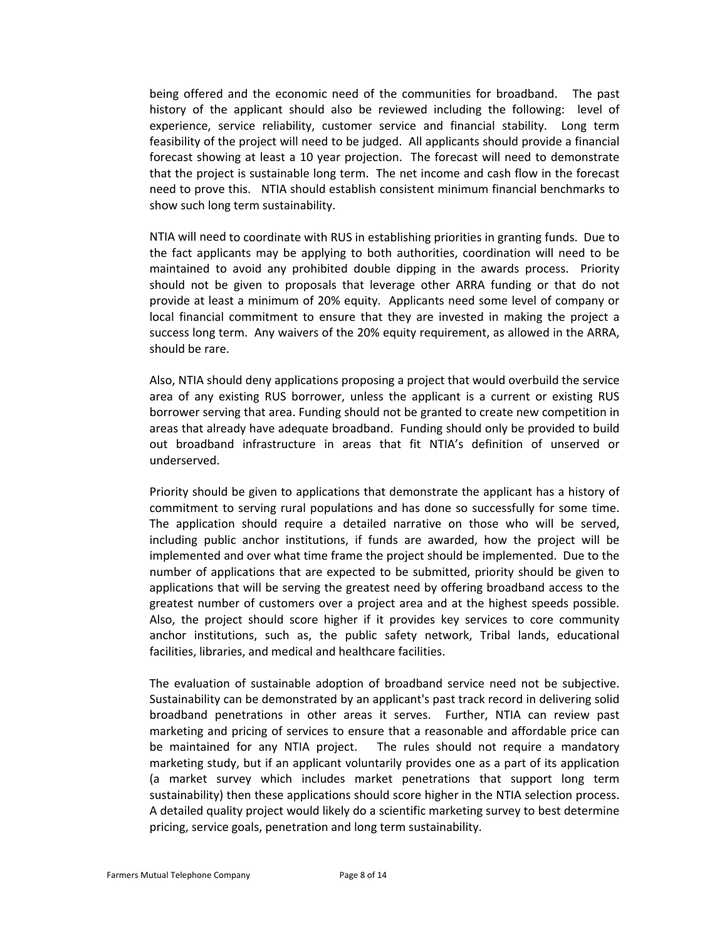being offered and the economic need of the communities for broadband. The past history of the applicant should also be reviewed including the following: level of experience, service reliability, customer service and financial stability. Long term feasibility of the project will need to be judged. All applicants should provide a financial forecast showing at least a 10 year projection. The forecast will need to demonstrate that the project is sustainable long term. The net income and cash flow in the forecast need to prove this. NTIA should establish consistent minimum financial benchmarks to show such long term sustainability.

NTIA will need to coordinate with RUS in establishing priorities in granting funds. Due to the fact applicants may be applying to both authorities, coordination will need to be maintained to avoid any prohibited double dipping in the awards process. Priority should not be given to proposals that leverage other ARRA funding or that do not provide at least a minimum of 20% equity. Applicants need some level of company or local financial commitment to ensure that they are invested in making the project a success long term. Any waivers of the 20% equity requirement, as allowed in the ARRA, should be rare.

Also, NTIA should deny applications proposing a project that would overbuild the service area of any existing RUS borrower, unless the applicant is a current or existing RUS borrower serving that area. Funding should not be granted to create new competition in areas that already have adequate broadband. Funding should only be provided to build out broadband infrastructure in areas that fit NTIA's definition of unserved or underserved.

Priority should be given to applications that demonstrate the applicant has a history of commitment to serving rural populations and has done so successfully for some time. The application should require a detailed narrative on those who will be served, including public anchor institutions, if funds are awarded, how the project will be implemented and over what time frame the project should be implemented. Due to the number of applications that are expected to be submitted, priority should be given to applications that will be serving the greatest need by offering broadband access to the greatest number of customers over a project area and at the highest speeds possible. Also, the project should score higher if it provides key services to core community anchor institutions, such as, the public safety network, Tribal lands, educational facilities, libraries, and medical and healthcare facilities.

The evaluation of sustainable adoption of broadband service need not be subjective. Sustainability can be demonstrated by an applicant's past track record in delivering solid broadband penetrations in other areas it serves. Further, NTIA can review past marketing and pricing of services to ensure that a reasonable and affordable price can be maintained for any NTIA project. The rules should not require a mandatory marketing study, but if an applicant voluntarily provides one as a part of its application (a market survey which includes market penetrations that support long term sustainability) then these applications should score higher in the NTIA selection process. A detailed quality project would likely do a scientific marketing survey to best determine pricing, service goals, penetration and long term sustainability.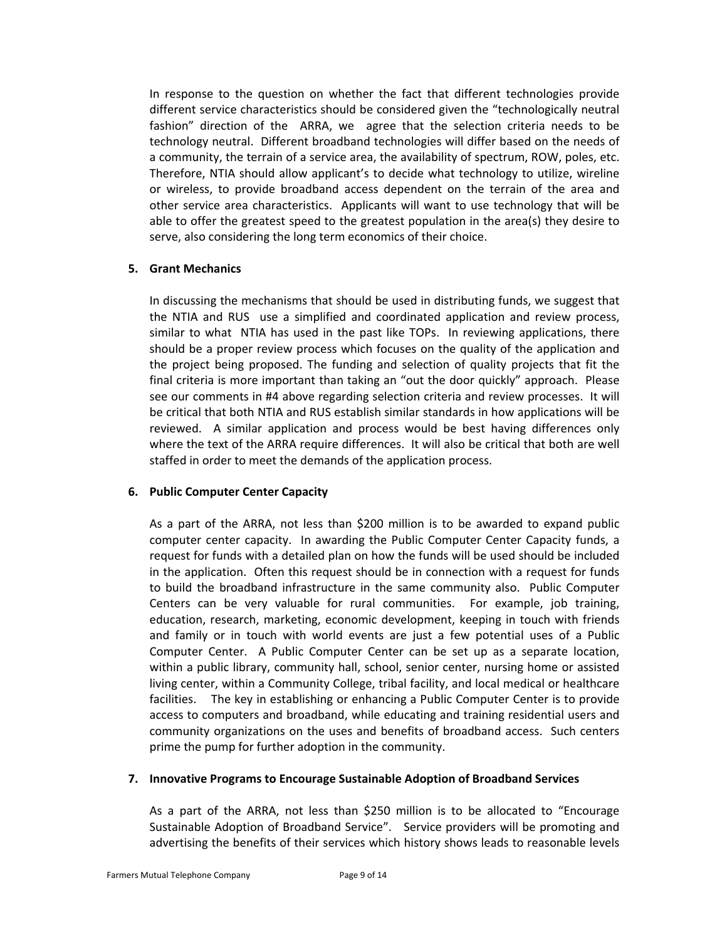In response to the question on whether the fact that different technologies provide different service characteristics should be considered given the "technologically neutral fashion" direction of the ARRA, we agree that the selection criteria needs to be technology neutral. Different broadband technologies will differ based on the needs of a community, the terrain of a service area, the availability of spectrum, ROW, poles, etc. Therefore, NTIA should allow applicant's to decide what technology to utilize, wireline or wireless, to provide broadband access dependent on the terrain of the area and other service area characteristics. Applicants will want to use technology that will be able to offer the greatest speed to the greatest population in the area(s) they desire to serve, also considering the long term economics of their choice.

# **5. Grant Mechanics**

In discussing the mechanisms that should be used in distributing funds, we suggest that the NTIA and RUS use a simplified and coordinated application and review process, similar to what NTIA has used in the past like TOPs. In reviewing applications, there should be a proper review process which focuses on the quality of the application and the project being proposed. The funding and selection of quality projects that fit the final criteria is more important than taking an "out the door quickly" approach. Please see our comments in #4 above regarding selection criteria and review processes. It will be critical that both NTIA and RUS establish similar standards in how applications will be reviewed. A similar application and process would be best having differences only where the text of the ARRA require differences. It will also be critical that both are well staffed in order to meet the demands of the application process.

# **6. Public Computer Center Capacity**

As a part of the ARRA, not less than \$200 million is to be awarded to expand public computer center capacity. In awarding the Public Computer Center Capacity funds, a request for funds with a detailed plan on how the funds will be used should be included in the application. Often this request should be in connection with a request for funds to build the broadband infrastructure in the same community also. Public Computer Centers can be very valuable for rural communities. For example, job training, education, research, marketing, economic development, keeping in touch with friends and family or in touch with world events are just a few potential uses of a Public Computer Center. A Public Computer Center can be set up as a separate location, within a public library, community hall, school, senior center, nursing home or assisted living center, within a Community College, tribal facility, and local medical or healthcare facilities. The key in establishing or enhancing a Public Computer Center is to provide access to computers and broadband, while educating and training residential users and community organizations on the uses and benefits of broadband access. Such centers prime the pump for further adoption in the community.

#### **7. Innovative Programs to Encourage Sustainable Adoption of Broadband Services**

As a part of the ARRA, not less than \$250 million is to be allocated to "Encourage Sustainable Adoption of Broadband Service". Service providers will be promoting and advertising the benefits of their services which history shows leads to reasonable levels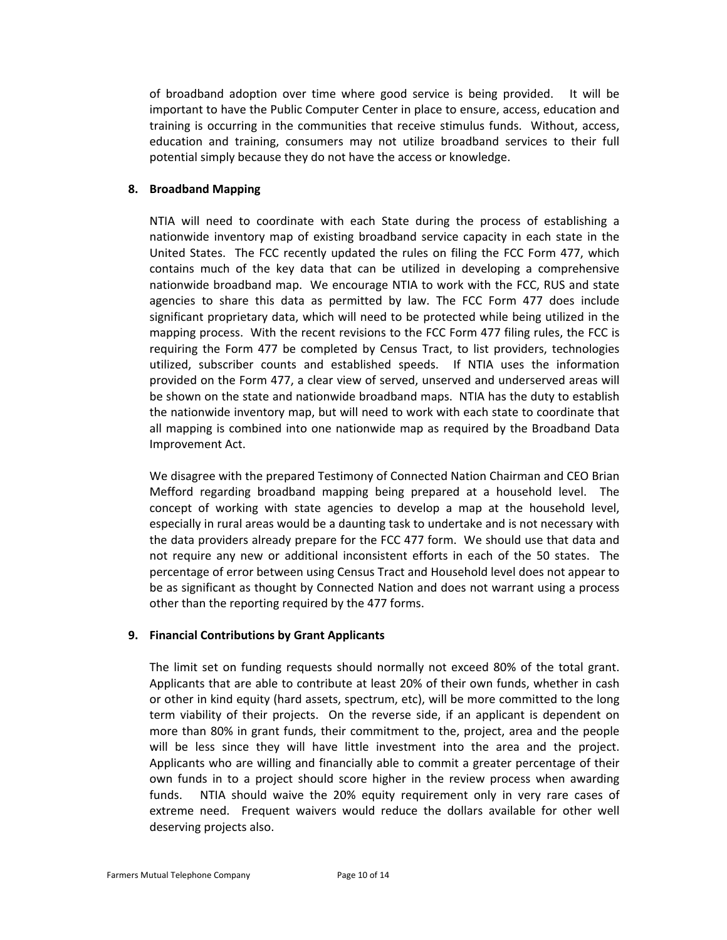of broadband adoption over time where good service is being provided. It will be important to have the Public Computer Center in place to ensure, access, education and training is occurring in the communities that receive stimulus funds. Without, access, education and training, consumers may not utilize broadband services to their full potential simply because they do not have the access or knowledge.

# **8. Broadband Mapping**

NTIA will need to coordinate with each State during the process of establishing a nationwide inventory map of existing broadband service capacity in each state in the United States. The FCC recently updated the rules on filing the FCC Form 477, which contains much of the key data that can be utilized in developing a comprehensive nationwide broadband map. We encourage NTIA to work with the FCC, RUS and state agencies to share this data as permitted by law. The FCC Form 477 does include significant proprietary data, which will need to be protected while being utilized in the mapping process. With the recent revisions to the FCC Form 477 filing rules, the FCC is requiring the Form 477 be completed by Census Tract, to list providers, technologies utilized, subscriber counts and established speeds. If NTIA uses the information provided on the Form 477, a clear view of served, unserved and underserved areas will be shown on the state and nationwide broadband maps. NTIA has the duty to establish the nationwide inventory map, but will need to work with each state to coordinate that all mapping is combined into one nationwide map as required by the Broadband Data Improvement Act.

We disagree with the prepared Testimony of Connected Nation Chairman and CEO Brian Mefford regarding broadband mapping being prepared at a household level. The concept of working with state agencies to develop a map at the household level, especially in rural areas would be a daunting task to undertake and is not necessary with the data providers already prepare for the FCC 477 form. We should use that data and not require any new or additional inconsistent efforts in each of the 50 states. The percentage of error between using Census Tract and Household level does not appear to be as significant as thought by Connected Nation and does not warrant using a process other than the reporting required by the 477 forms.

#### **9. Financial Contributions by Grant Applicants**

The limit set on funding requests should normally not exceed 80% of the total grant. Applicants that are able to contribute at least 20% of their own funds, whether in cash or other in kind equity (hard assets, spectrum, etc), will be more committed to the long term viability of their projects. On the reverse side, if an applicant is dependent on more than 80% in grant funds, their commitment to the, project, area and the people will be less since they will have little investment into the area and the project. Applicants who are willing and financially able to commit a greater percentage of their own funds in to a project should score higher in the review process when awarding funds. NTIA should waive the 20% equity requirement only in very rare cases of extreme need. Frequent waivers would reduce the dollars available for other well deserving projects also.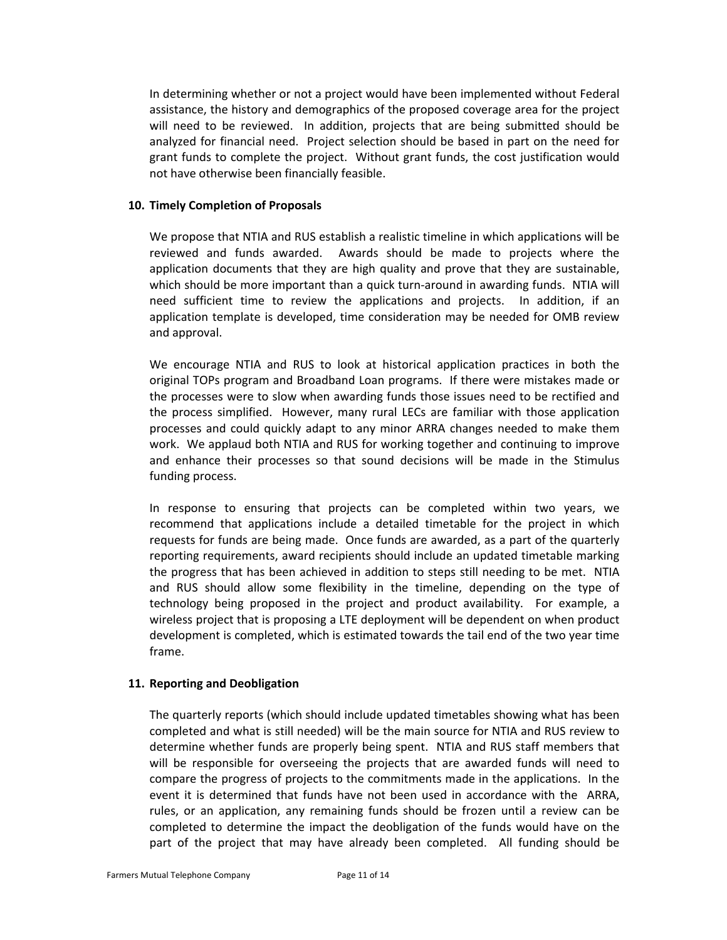In determining whether or not a project would have been implemented without Federal assistance, the history and demographics of the proposed coverage area for the project will need to be reviewed. In addition, projects that are being submitted should be analyzed for financial need. Project selection should be based in part on the need for grant funds to complete the project. Without grant funds, the cost justification would not have otherwise been financially feasible.

#### **10. Timely Completion of Proposals**

We propose that NTIA and RUS establish a realistic timeline in which applications will be reviewed and funds awarded. Awards should be made to projects where the application documents that they are high quality and prove that they are sustainable, which should be more important than a quick turn-around in awarding funds. NTIA will need sufficient time to review the applications and projects. In addition, if an application template is developed, time consideration may be needed for OMB review and approval.

We encourage NTIA and RUS to look at historical application practices in both the original TOPs program and Broadband Loan programs. If there were mistakes made or the processes were to slow when awarding funds those issues need to be rectified and the process simplified. However, many rural LECs are familiar with those application processes and could quickly adapt to any minor ARRA changes needed to make them work. We applaud both NTIA and RUS for working together and continuing to improve and enhance their processes so that sound decisions will be made in the Stimulus funding process.

In response to ensuring that projects can be completed within two years, we recommend that applications include a detailed timetable for the project in which requests for funds are being made. Once funds are awarded, as a part of the quarterly reporting requirements, award recipients should include an updated timetable marking the progress that has been achieved in addition to steps still needing to be met. NTIA and RUS should allow some flexibility in the timeline, depending on the type of technology being proposed in the project and product availability. For example, a wireless project that is proposing a LTE deployment will be dependent on when product development is completed, which is estimated towards the tail end of the two year time frame.

#### **11. Reporting and Deobligation**

The quarterly reports (which should include updated timetables showing what has been completed and what is still needed) will be the main source for NTIA and RUS review to determine whether funds are properly being spent. NTIA and RUS staff members that will be responsible for overseeing the projects that are awarded funds will need to compare the progress of projects to the commitments made in the applications. In the event it is determined that funds have not been used in accordance with the ARRA, rules, or an application, any remaining funds should be frozen until a review can be completed to determine the impact the deobligation of the funds would have on the part of the project that may have already been completed. All funding should be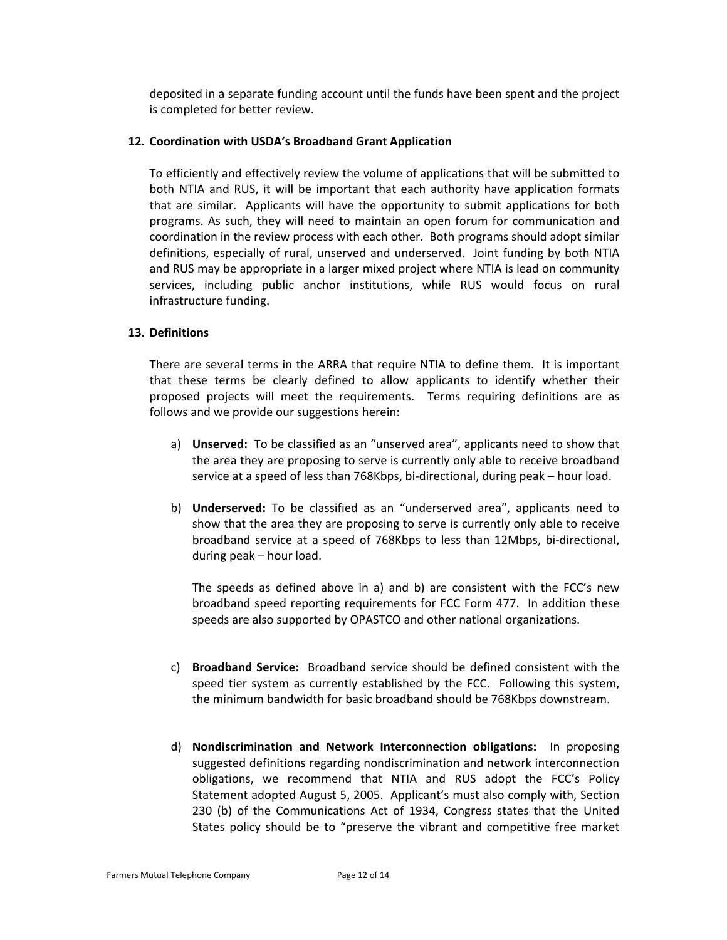deposited in a separate funding account until the funds have been spent and the project is completed for better review.

#### **12. Coordination with USDA's Broadband Grant Application**

To efficiently and effectively review the volume of applications that will be submitted to both NTIA and RUS, it will be important that each authority have application formats that are similar. Applicants will have the opportunity to submit applications for both programs. As such, they will need to maintain an open forum for communication and coordination in the review process with each other. Both programs should adopt similar definitions, especially of rural, unserved and underserved. Joint funding by both NTIA and RUS may be appropriate in a larger mixed project where NTIA is lead on community services, including public anchor institutions, while RUS would focus on rural infrastructure funding.

## **13. Definitions**

There are several terms in the ARRA that require NTIA to define them. It is important that these terms be clearly defined to allow applicants to identify whether their proposed projects will meet the requirements. Terms requiring definitions are as follows and we provide our suggestions herein:

- a) **Unserved:** To be classified as an "unserved area", applicants need to show that the area they are proposing to serve is currently only able to receive broadband service at a speed of less than 768Kbps, bi-directional, during peak – hour load.
- b) **Underserved:** To be classified as an "underserved area", applicants need to show that the area they are proposing to serve is currently only able to receive broadband service at a speed of 768Kbps to less than 12Mbps, bi‐directional, during peak – hour load.

The speeds as defined above in a) and b) are consistent with the FCC's new broadband speed reporting requirements for FCC Form 477. In addition these speeds are also supported by OPASTCO and other national organizations.

- c) **Broadband Service:** Broadband service should be defined consistent with the speed tier system as currently established by the FCC. Following this system, the minimum bandwidth for basic broadband should be 768Kbps downstream.
- d) **Nondiscrimination and Network Interconnection obligations:**  In proposing suggested definitions regarding nondiscrimination and network interconnection obligations, we recommend that NTIA and RUS adopt the FCC's Policy Statement adopted August 5, 2005. Applicant's must also comply with, Section 230 (b) of the Communications Act of 1934, Congress states that the United States policy should be to "preserve the vibrant and competitive free market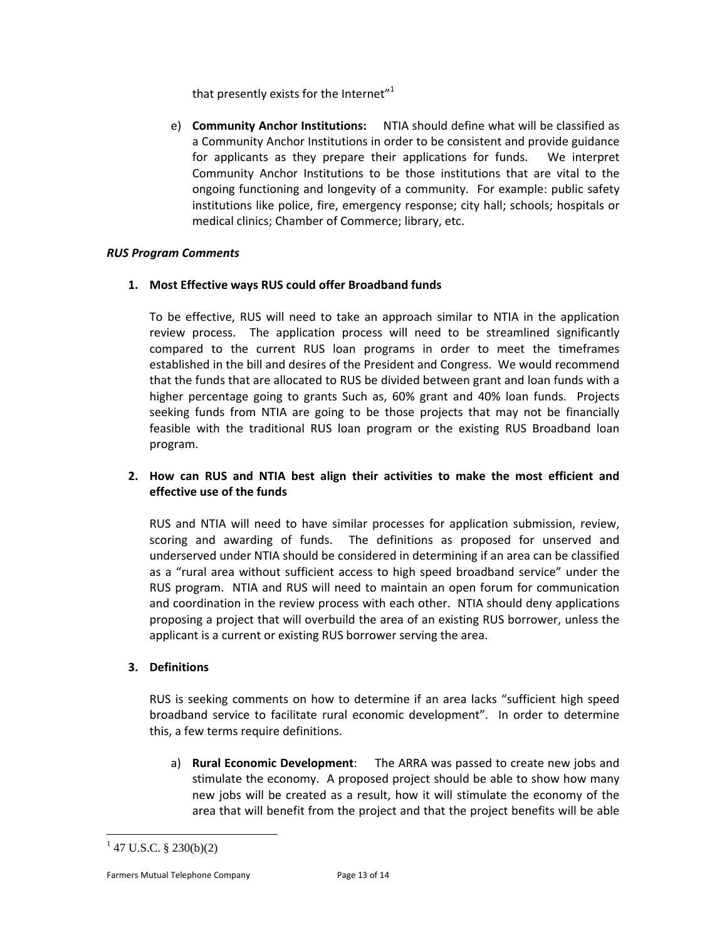that presently exists for the Internet" $1$ 

e) **Community Anchor Institutions:**  NTIA should define what will be classified as a Community Anchor Institutions in order to be consistent and provide guidance for applicants as they prepare their applications for funds. We interpret Community Anchor Institutions to be those institutions that are vital to the ongoing functioning and longevity of a community. For example: public safety institutions like police, fire, emergency response; city hall; schools; hospitals or medical clinics; Chamber of Commerce; library, etc.

## *RUS Program Comments*

## **1. Most Effective ways RUS could offer Broadband funds**

To be effective, RUS will need to take an approach similar to NTIA in the application review process. The application process will need to be streamlined significantly compared to the current RUS loan programs in order to meet the timeframes established in the bill and desires of the President and Congress. We would recommend that the funds that are allocated to RUS be divided between grant and loan funds with a higher percentage going to grants Such as, 60% grant and 40% loan funds. Projects seeking funds from NTIA are going to be those projects that may not be financially feasible with the traditional RUS loan program or the existing RUS Broadband loan program.

# **2. How can RUS and NTIA best align their activities to make the most efficient and effective use of the funds**

RUS and NTIA will need to have similar processes for application submission, review, scoring and awarding of funds. The definitions as proposed for unserved and underserved under NTIA should be considered in determining if an area can be classified as a "rural area without sufficient access to high speed broadband service" under the RUS program. NTIA and RUS will need to maintain an open forum for communication and coordination in the review process with each other. NTIA should deny applications proposing a project that will overbuild the area of an existing RUS borrower, unless the applicant is a current or existing RUS borrower serving the area.

# **3. Definitions**

RUS is seeking comments on how to determine if an area lacks "sufficient high speed broadband service to facilitate rural economic development". In order to determine this, a few terms require definitions.

a) **Rural Economic Development**: The ARRA was passed to create new jobs and stimulate the economy. A proposed project should be able to show how many new jobs will be created as a result, how it will stimulate the economy of the area that will benefit from the project and that the project benefits will be able

 $\overline{a}$ 

Farmers Mutual Telephone Company Page 13 of 14

 $1$  47 U.S.C. § 230(b)(2)